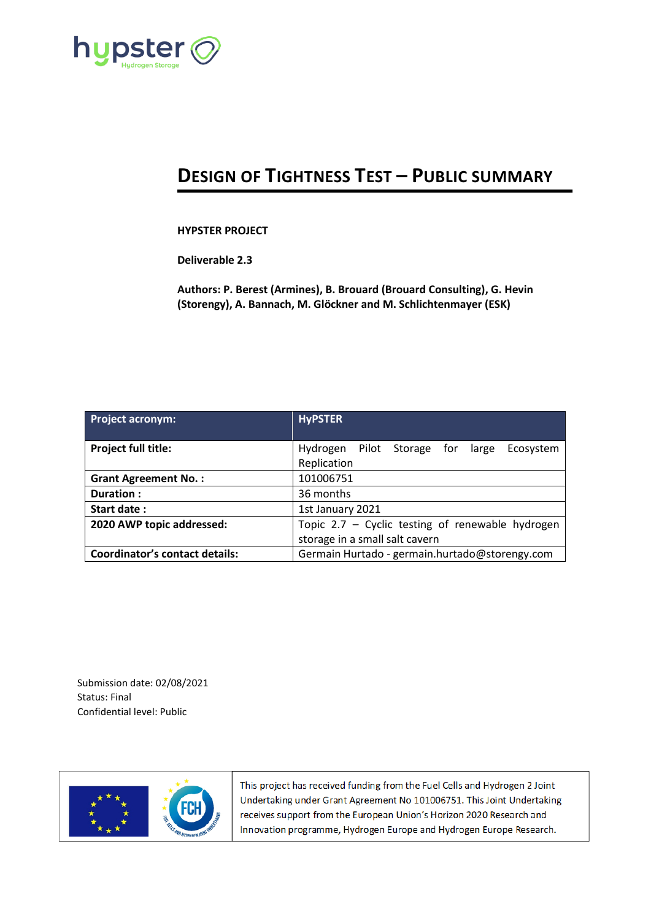

## **DESIGN OF TIGHTNESS TEST – PUBLIC SUMMARY**

## **HYPSTER PROJECT**

**Deliverable 2.3**

**Authors: P. Berest (Armines), B. Brouard (Brouard Consulting), G. Hevin (Storengy), A. Bannach, M. Glöckner and M. Schlichtenmayer (ESK)**

| <b>Project acronym:</b>               | <b>HyPSTER</b>                                   |
|---------------------------------------|--------------------------------------------------|
|                                       |                                                  |
| <b>Project full title:</b>            | Pilot Storage for large<br>Hydrogen<br>Ecosystem |
|                                       | Replication                                      |
| <b>Grant Agreement No.:</b>           | 101006751                                        |
| Duration:                             | 36 months                                        |
| Start date:                           | 1st January 2021                                 |
| 2020 AWP topic addressed:             | Topic 2.7 - Cyclic testing of renewable hydrogen |
|                                       | storage in a small salt cavern                   |
| <b>Coordinator's contact details:</b> | Germain Hurtado - germain.hurtado@storengy.com   |

Submission date: 02/08/2021 Status: Final Confidential level: Public



This project has received funding from the Fuel Cells and Hydrogen 2 Joint Undertaking under Grant Agreement No 101006751. This Joint Undertaking receives support from the European Union's Horizon 2020 Research and Innovation programme, Hydrogen Europe and Hydrogen Europe Research.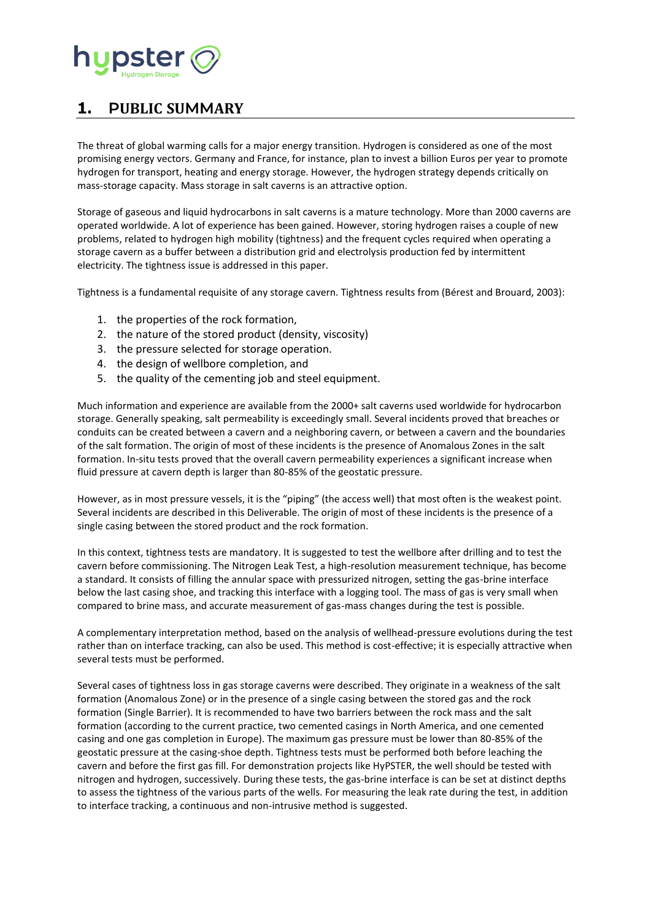

## **1. PUBLIC SUMMARY**

The threat of global warming calls for a major energy transition. Hydrogen is considered as one of the most promising energy vectors. Germany and France, for instance, plan to invest a billion Euros per year to promote hydrogen for transport, heating and energy storage. However, the hydrogen strategy depends critically on mass-storage capacity. Mass storage in salt caverns is an attractive option.

Storage of gaseous and liquid hydrocarbons in salt caverns is a mature technology. More than 2000 caverns are operated worldwide. A lot of experience has been gained. However, storing hydrogen raises a couple of new problems, related to hydrogen high mobility (tightness) and the frequent cycles required when operating a storage cavern as a buffer between a distribution grid and electrolysis production fed by intermittent electricity. The tightness issue is addressed in this paper.

Tightness is a fundamental requisite of any storage cavern. Tightness results from (Bérest and Brouard, 2003):

- 1. the properties of the rock formation,
- 2. the nature of the stored product (density, viscosity)
- 3. the pressure selected for storage operation.
- 4. the design of wellbore completion, and
- 5. the quality of the cementing job and steel equipment.

Much information and experience are available from the 2000+ salt caverns used worldwide for hydrocarbon storage. Generally speaking, salt permeability is exceedingly small. Several incidents proved that breaches or conduits can be created between a cavern and a neighboring cavern, or between a cavern and the boundaries of the salt formation. The origin of most of these incidents is the presence of Anomalous Zones in the salt formation. In-situ tests proved that the overall cavern permeability experiences a significant increase when fluid pressure at cavern depth is larger than 80-85% of the geostatic pressure.

However, as in most pressure vessels, it is the "piping" (the access well) that most often is the weakest point. Several incidents are described in this Deliverable. The origin of most of these incidents is the presence of a single casing between the stored product and the rock formation.

In this context, tightness tests are mandatory. It is suggested to test the wellbore after drilling and to test the cavern before commissioning. The Nitrogen Leak Test, a high-resolution measurement technique, has become a standard. It consists of filling the annular space with pressurized nitrogen, setting the gas-brine interface below the last casing shoe, and tracking this interface with a logging tool. The mass of gas is very small when compared to brine mass, and accurate measurement of gas-mass changes during the test is possible.

A complementary interpretation method, based on the analysis of wellhead-pressure evolutions during the test rather than on interface tracking, can also be used. This method is cost-effective; it is especially attractive when several tests must be performed.

Several cases of tightness loss in gas storage caverns were described. They originate in a weakness of the salt formation (Anomalous Zone) or in the presence of a single casing between the stored gas and the rock formation (Single Barrier). It is recommended to have two barriers between the rock mass and the salt formation (according to the current practice, two cemented casings in North America, and one cemented casing and one gas completion in Europe). The maximum gas pressure must be lower than 80-85% of the geostatic pressure at the casing-shoe depth. Tightness tests must be performed both before leaching the cavern and before the first gas fill. For demonstration projects like HyPSTER, the well should be tested with nitrogen and hydrogen, successively. During these tests, the gas-brine interface is can be set at distinct depths to assess the tightness of the various parts of the wells. For measuring the leak rate during the test, in addition to interface tracking, a continuous and non-intrusive method is suggested.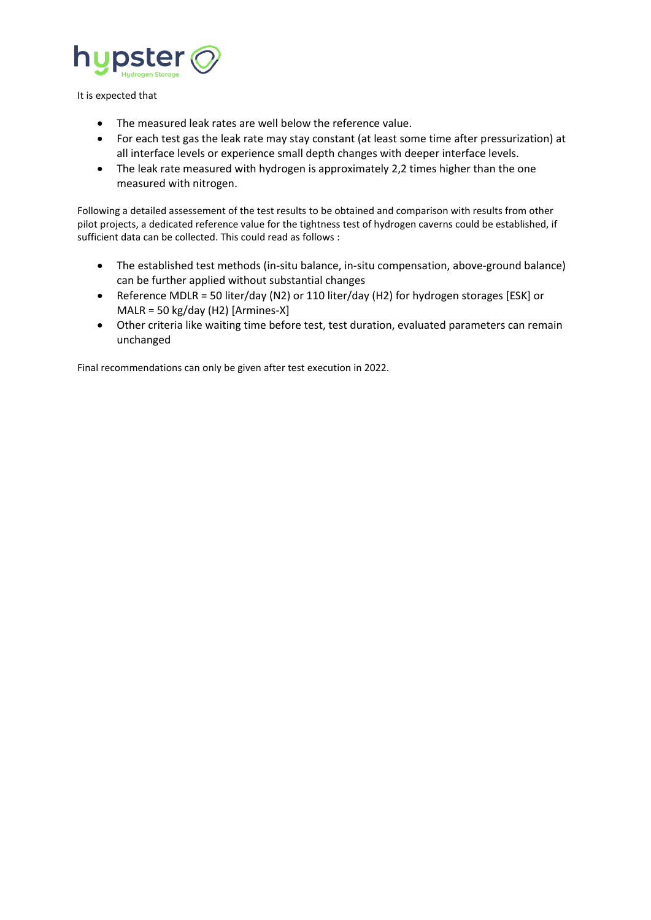

It is expected that

- The measured leak rates are well below the reference value.
- For each test gas the leak rate may stay constant (at least some time after pressurization) at all interface levels or experience small depth changes with deeper interface levels.
- The leak rate measured with hydrogen is approximately 2,2 times higher than the one measured with nitrogen.

Following a detailed assessement of the test results to be obtained and comparison with results from other pilot projects, a dedicated reference value for the tightness test of hydrogen caverns could be established, if sufficient data can be collected. This could read as follows :

- The established test methods (in-situ balance, in-situ compensation, above-ground balance) can be further applied without substantial changes
- Reference MDLR = 50 liter/day (N2) or 110 liter/day (H2) for hydrogen storages [ESK] or MALR = 50 kg/day (H2) [Armines-X]
- Other criteria like waiting time before test, test duration, evaluated parameters can remain unchanged

Final recommendations can only be given after test execution in 2022.